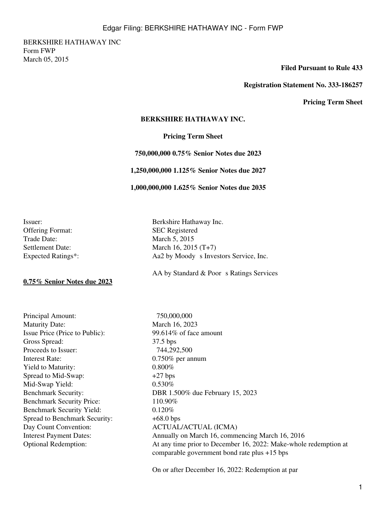BERKSHIRE HATHAWAY INC Form FWP March 05, 2015

### **Filed Pursuant to Rule 433**

### **Registration Statement No. 333-186257**

**Pricing Term Sheet**

### **BERKSHIRE HATHAWAY INC.**

### **Pricing Term Sheet**

 **750,000,000 0.75% Senior Notes due 2023**

 **1,250,000,000 1.125% Senior Notes due 2027**

 **1,000,000,000 1.625% Senior Notes due 2035**

Issuer: Berkshire Hathaway Inc. Offering Format: SEC Registered Trade Date: March 5, 2015

**0.75% Senior Notes due 2023**

Principal Amount: 750,000,000 Maturity Date: March 16, 2023 Issue Price (Price to Public): 99.614% of face amount Gross Spread: 37.5 bps Proceeds to Issuer: 744,292,500 Interest Rate: 0.750% per annum Yield to Maturity: 0.800% Spread to Mid-Swap:  $+27 \text{ bps}$ Mid-Swap Yield: 0.530% Benchmark Security Price: 110.90% Benchmark Security Yield: 0.120% Spread to Benchmark Security:  $+68.0$  bps Day Count Convention: ACTUAL/ACTUAL (ICMA)

Settlement Date: March 16, 2015 (T+7) Expected Ratings\*: Aa2 by Moody s Investors Service, Inc.

AA by Standard  $&$  Poor s Ratings Services

Benchmark Security: DBR 1.500% due February 15, 2023 Interest Payment Dates: Annually on March 16, commencing March 16, 2016 Optional Redemption: At any time prior to December 16, 2022: Make-whole redemption at comparable government bond rate plus +15 bps

On or after December 16, 2022: Redemption at par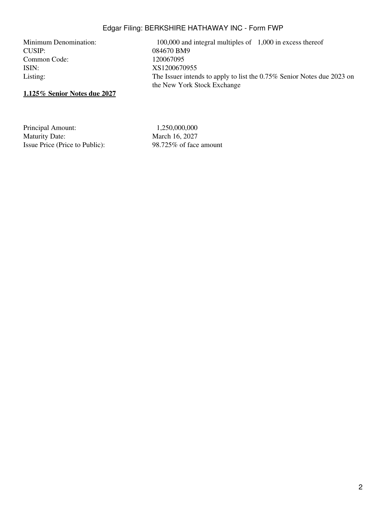# Edgar Filing: BERKSHIRE HATHAWAY INC - Form FWP

CUSIP: 084670 BM9<br>
Common Code: 120067095 Common Code: ISIN: XS1200670955

Minimum Denomination: 100,000 and integral multiples of 1,000 in excess thereof Listing: The Issuer intends to apply to list the 0.75% Senior Notes due 2023 on the New York Stock Exchange

# **1.125% Senior Notes due 2027**

Principal Amount: 1,250,000,000 Maturity Date: March 16, 2027 Issue Price (Price to Public): 98.725% of face amount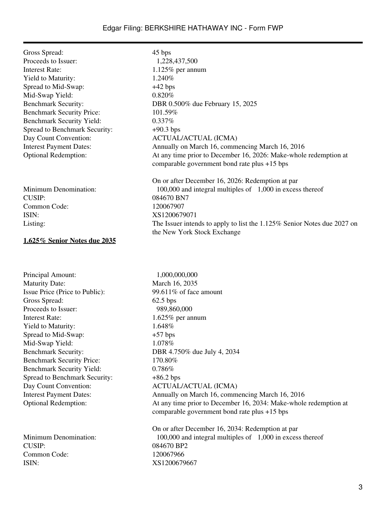## Edgar Filing: BERKSHIRE HATHAWAY INC - Form FWP

| Gross Spread:                    | 45 bps                                                                                                           |
|----------------------------------|------------------------------------------------------------------------------------------------------------------|
| Proceeds to Issuer:              | 1,228,437,500                                                                                                    |
| <b>Interest Rate:</b>            | $1.125\%$ per annum                                                                                              |
| Yield to Maturity:               | 1.240\%                                                                                                          |
| Spread to Mid-Swap:              | $+42$ bps                                                                                                        |
| Mid-Swap Yield:                  | $0.820\%$                                                                                                        |
| <b>Benchmark Security:</b>       | DBR 0.500% due February 15, 2025                                                                                 |
| <b>Benchmark Security Price:</b> | 101.59%                                                                                                          |
| <b>Benchmark Security Yield:</b> | 0.337%                                                                                                           |
| Spread to Benchmark Security:    | $+90.3$ bps                                                                                                      |
| Day Count Convention:            | <b>ACTUAL/ACTUAL (ICMA)</b>                                                                                      |
| <b>Interest Payment Dates:</b>   | Annually on March 16, commencing March 16, 2016                                                                  |
| <b>Optional Redemption:</b>      | At any time prior to December 16, 2026: Make-whole redemption at<br>comparable government bond rate plus +15 bps |
|                                  | On or after December 16, 2026: Redemption at par                                                                 |
| Minimum Denomination:            | 100,000 and integral multiples of 1,000 in excess thereof                                                        |
| CUSIP:                           | 084670 BN7                                                                                                       |
| Common Code:                     | 120067907                                                                                                        |
| ISIN:                            | XS1200679071                                                                                                     |
| Listing:                         | The Issuer intends to apply to list the 1.125% Senior Notes due 2027 on<br>the New York Stock Exchange           |

### **1.625% Senior Notes due 2035**

Principal Amount: 1,000,000,000 Maturity Date: March 16, 2035 Issue Price (Price to Public): 99.611% of face amount Gross Spread: 62.5 bps Proceeds to Issuer: 989,860,000 Interest Rate: 1.625% per annum Yield to Maturity: 1.648% Spread to Mid-Swap:  $+57 \text{ bps}$ Mid-Swap Yield: 1.078% Benchmark Security: DBR 4.750% due July 4, 2034 Benchmark Security Price: 170.80% Benchmark Security Yield: 0.786% Spread to Benchmark Security:  $+86.2$  bps Day Count Convention: ACTUAL/ACTUAL (ICMA)

CUSIP: 084670 BP2 Common Code: 120067966 ISIN: XS1200679667

Interest Payment Dates: Annually on March 16, commencing March 16, 2016 Optional Redemption: At any time prior to December 16, 2034: Make-whole redemption at comparable government bond rate plus +15 bps On or after December 16, 2034: Redemption at par Minimum Denomination: 100,000 and integral multiples of 1,000 in excess thereof